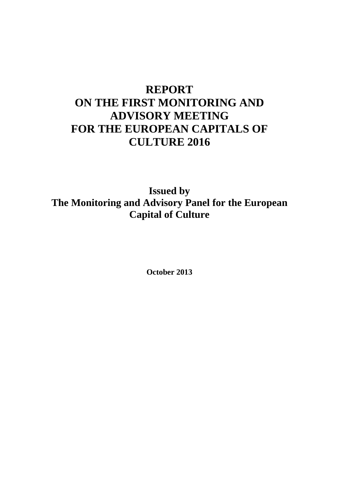# **REPORT ON THE FIRST MONITORING AND ADVISORY MEETING FOR THE EUROPEAN CAPITALS OF CULTURE 2016**

**Issued by The Monitoring and Advisory Panel for the European Capital of Culture**

**October 2013**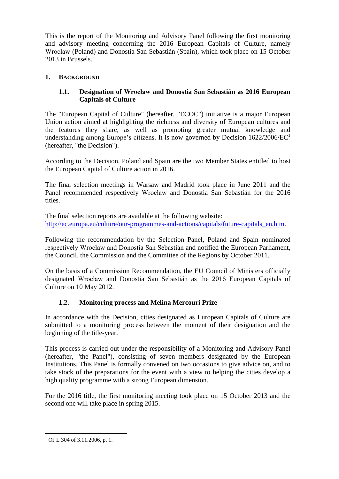This is the report of the Monitoring and Advisory Panel following the first monitoring and advisory meeting concerning the 2016 European Capitals of Culture, namely Wrocław (Poland) and Donostia San Sebastián (Spain), which took place on 15 October 2013 in Brussels.

# **1. BACKGROUND**

## **1.1. Designation of Wrocław and Donostia San Sebastián as 2016 European Capitals of Culture**

The "European Capital of Culture" (hereafter, "ECOC") initiative is a major European Union action aimed at highlighting the richness and diversity of European cultures and the features they share, as well as promoting greater mutual knowledge and understanding among Europe's citizens. It is now governed by Decision  $1622/2006/EC<sup>1</sup>$ (hereafter, "the Decision").

According to the Decision, Poland and Spain are the two Member States entitled to host the European Capital of Culture action in 2016.

The final selection meetings in Warsaw and Madrid took place in June 2011 and the Panel recommended respectively Wrocław and Donostia San Sebastián for the 2016 titles.

The final selection reports are available at the following website: [http://ec.europa.eu/culture/our-programmes-and-actions/capitals/future-capitals\\_en.htm.](http://ec.europa.eu/culture/our-programmes-and-actions/capitals/future-capitals_en.htm)

Following the recommendation by the Selection Panel, Poland and Spain nominated respectively Wrocław and Donostia San Sebastián and notified the European Parliament, the Council, the Commission and the Committee of the Regions by October 2011.

On the basis of a Commission Recommendation, the EU Council of Ministers officially designated Wrocław and Donostia San Sebastián as the 2016 European Capitals of Culture on 10 May 2012.

# **1.2. Monitoring process and Melina Mercouri Prize**

In accordance with the Decision, cities designated as European Capitals of Culture are submitted to a monitoring process between the moment of their designation and the beginning of the title-year.

This process is carried out under the responsibility of a Monitoring and Advisory Panel (hereafter, "the Panel"), consisting of seven members designated by the European Institutions. This Panel is formally convened on two occasions to give advice on, and to take stock of the preparations for the event with a view to helping the cities develop a high quality programme with a strong European dimension.

For the 2016 title, the first monitoring meeting took place on 15 October 2013 and the second one will take place in spring 2015.

 $\overline{a}$  $1$  OJ L 304 of 3.11.2006, p. 1.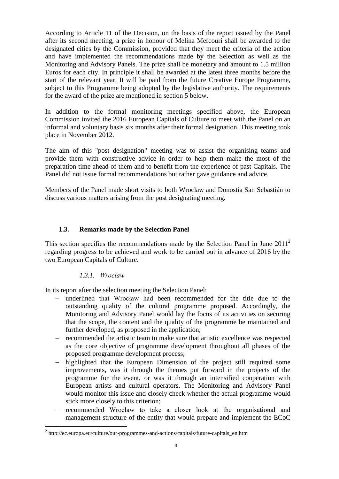According to Article 11 of the Decision, on the basis of the report issued by the Panel after its second meeting, a prize in honour of Melina Mercouri shall be awarded to the designated cities by the Commission, provided that they meet the criteria of the action and have implemented the recommendations made by the Selection as well as the Monitoring and Advisory Panels. The prize shall be monetary and amount to 1.5 million Euros for each city. In principle it shall be awarded at the latest three months before the start of the relevant year. It will be paid from the future Creative Europe Programme, subject to this Programme being adopted by the legislative authority. The requirements for the award of the prize are mentioned in section 5 below.

In addition to the formal monitoring meetings specified above, the European Commission invited the 2016 European Capitals of Culture to meet with the Panel on an informal and voluntary basis six months after their formal designation. This meeting took place in November 2012.

The aim of this "post designation" meeting was to assist the organising teams and provide them with constructive advice in order to help them make the most of the preparation time ahead of them and to benefit from the experience of past Capitals. The Panel did not issue formal recommendations but rather gave guidance and advice.

Members of the Panel made short visits to both Wrocław and Donostia San Sebastián to discuss various matters arising from the post designating meeting.

#### **1.3. Remarks made by the Selection Panel**

This section specifies the recommendations made by the Selection Panel in June  $2011<sup>2</sup>$ regarding progress to be achieved and work to be carried out in advance of 2016 by the two European Capitals of Culture.

#### *1.3.1. Wrocław*

 $\overline{a}$ 

In its report after the selection meeting the Selection Panel:

- underlined that Wrocław had been recommended for the title due to the outstanding quality of the cultural programme proposed. Accordingly, the Monitoring and Advisory Panel would lay the focus of its activities on securing that the scope, the content and the quality of the programme be maintained and further developed, as proposed in the application;
- recommended the artistic team to make sure that artistic excellence was respected as the core objective of programme development throughout all phases of the proposed programme development process;
- highlighted that the European Dimension of the project still required some improvements, was it through the themes put forward in the projects of the programme for the event, or was it through an intensified cooperation with European artists and cultural operators. The Monitoring and Advisory Panel would monitor this issue and closely check whether the actual programme would stick more closely to this criterion;
- recommended Wrocław to take a closer look at the organisational and management structure of the entity that would prepare and implement the ECoC

 $2^2$  http://ec.europa.eu/culture/our-programmes-and-actions/capitals/future-capitals\_en.htm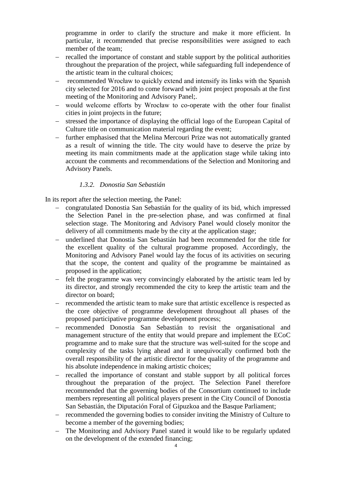programme in order to clarify the structure and make it more efficient. In particular, it recommended that precise responsibilities were assigned to each member of the team;

- recalled the importance of constant and stable support by the political authorities throughout the preparation of the project, while safeguarding full independence of the artistic team in the cultural choices;
- recommended Wrocław to quickly extend and intensify its links with the Spanish city selected for 2016 and to come forward with joint project proposals at the first meeting of the Monitoring and Advisory Panel;.
- would welcome efforts by Wrocław to co-operate with the other four finalist cities in joint projects in the future;
- stressed the importance of displaying the official logo of the European Capital of Culture title on communication material regarding the event;
- further emphasised that the Melina Mercouri Prize was not automatically granted as a result of winning the title. The city would have to deserve the prize by meeting its main commitments made at the application stage while taking into account the comments and recommendations of the Selection and Monitoring and Advisory Panels.

#### *1.3.2. Donostia San Sebastián*

In its report after the selection meeting, the Panel:

- congratulated Donostia San Sebastián for the quality of its bid, which impressed the Selection Panel in the pre-selection phase, and was confirmed at final selection stage. The Monitoring and Advisory Panel would closely monitor the delivery of all commitments made by the city at the application stage;
- underlined that Donostia San Sebastián had been recommended for the title for the excellent quality of the cultural programme proposed. Accordingly, the Monitoring and Advisory Panel would lay the focus of its activities on securing that the scope, the content and quality of the programme be maintained as proposed in the application;
- felt the programme was very convincingly elaborated by the artistic team led by its director, and strongly recommended the city to keep the artistic team and the director on board;
- recommended the artistic team to make sure that artistic excellence is respected as the core objective of programme development throughout all phases of the proposed participative programme development process;
- recommended Donostia San Sebastián to revisit the organisational and management structure of the entity that would prepare and implement the ECoC programme and to make sure that the structure was well-suited for the scope and complexity of the tasks lying ahead and it unequivocally confirmed both the overall responsibility of the artistic director for the quality of the programme and his absolute independence in making artistic choices;
- recalled the importance of constant and stable support by all political forces throughout the preparation of the project. The Selection Panel therefore recommended that the governing bodies of the Consortium continued to include members representing all political players present in the City Council of Donostia San Sebastián, the Diputación Foral of Gipuzkoa and the Basque Parliament;
- recommended the governing bodies to consider inviting the Ministry of Culture to become a member of the governing bodies;
- The Monitoring and Advisory Panel stated it would like to be regularly updated on the development of the extended financing;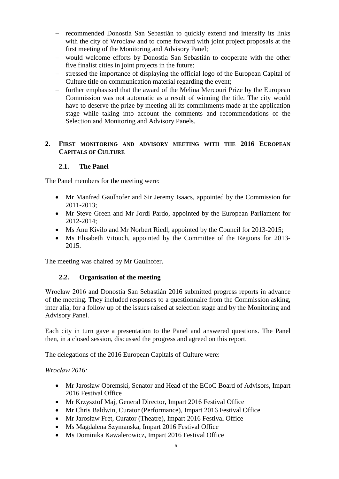- recommended Donostia San Sebastián to quickly extend and intensify its links with the city of Wroclaw and to come forward with joint project proposals at the first meeting of the Monitoring and Advisory Panel;
- would welcome efforts by Donostia San Sebastián to cooperate with the other five finalist cities in joint projects in the future;
- stressed the importance of displaying the official logo of the European Capital of Culture title on communication material regarding the event;
- further emphasised that the award of the Melina Mercouri Prize by the European Commission was not automatic as a result of winning the title. The city would have to deserve the prize by meeting all its commitments made at the application stage while taking into account the comments and recommendations of the Selection and Monitoring and Advisory Panels.

#### **2. FIRST MONITORING AND ADVISORY MEETING WITH THE 2016 EUROPEAN CAPITALS OF CULTURE**

## **2.1. The Panel**

The Panel members for the meeting were:

- Mr Manfred Gaulhofer and Sir Jeremy Isaacs, appointed by the Commission for 2011-2013;
- Mr Steve Green and Mr Jordi Pardo, appointed by the European Parliament for 2012-2014;
- Ms Anu Kivilo and Mr Norbert Riedl, appointed by the Council for 2013-2015;
- Ms Elisabeth Vitouch, appointed by the Committee of the Regions for 2013- 2015.

The meeting was chaired by Mr Gaulhofer.

#### **2.2. Organisation of the meeting**

Wrocław 2016 and Donostia San Sebastián 2016 submitted progress reports in advance of the meeting. They included responses to a questionnaire from the Commission asking, inter alia, for a follow up of the issues raised at selection stage and by the Monitoring and Advisory Panel.

Each city in turn gave a presentation to the Panel and answered questions. The Panel then, in a closed session, discussed the progress and agreed on this report.

The delegations of the 2016 European Capitals of Culture were:

#### *Wrocław 2016:*

- Mr Jarosław Obremski, Senator and Head of the ECoC Board of Advisors, Impart 2016 Festival Office
- Mr Krzysztof Maj, General Director, Impart 2016 Festival Office
- Mr Chris Baldwin, Curator (Performance), Impart 2016 Festival Office
- Mr Jarosław Fret, Curator (Theatre), Impart 2016 Festival Office
- Ms Magdalena Szymanska, Impart 2016 Festival Office
- Ms Dominika Kawalerowicz, Impart 2016 Festival Office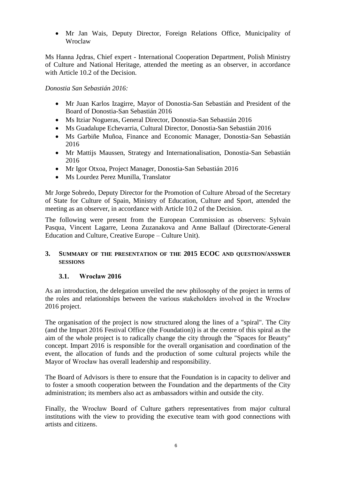Mr Jan Wais, Deputy Director, Foreign Relations Office, Municipality of Wroclaw

Ms Hanna Jędras, Chief expert - International Cooperation Department, Polish Ministry of Culture and National Heritage, attended the meeting as an observer, in accordance with Article 10.2 of the Decision.

*Donostia San Sebastián 2016:*

- Mr Juan Karlos Izagirre, Mayor of Donostia-San Sebastián and President of the Board of Donostia-San Sebastián 2016
- Ms Itziar Nogueras, General Director, Donostia-San Sebastián 2016
- Ms Guadalupe Echevarria, Cultural Director, Donostia-San Sebastián 2016
- Ms Garbiñe Muñoa, Finance and Economic Manager, Donostia-San Sebastián 2016
- Mr Mattijs Maussen, Strategy and Internationalisation, Donostia-San Sebastián 2016
- Mr Igor Otxoa, Project Manager, Donostia-San Sebastián 2016
- Ms Lourdez Perez Munilla, Translator

Mr Jorge Sobredo, Deputy Director for the Promotion of Culture Abroad of the Secretary of State for Culture of Spain, Ministry of Education, Culture and Sport, attended the meeting as an observer, in accordance with Article 10.2 of the Decision.

The following were present from the European Commission as observers: Sylvain Pasqua, Vincent Lagarre, Leona Zuzanakova and Anne Ballauf (Directorate-General Education and Culture, Creative Europe – Culture Unit).

#### **3. SUMMARY OF THE PRESENTATION OF THE 2015 ECOC AND QUESTION/ANSWER SESSIONS**

#### **3.1. Wrocław 2016**

As an introduction, the delegation unveiled the new philosophy of the project in terms of the roles and relationships between the various stakeholders involved in the Wrocław 2016 project.

The organisation of the project is now structured along the lines of a "spiral". The City (and the Impart 2016 Festival Office (the Foundation)) is at the centre of this spiral as the aim of the whole project is to radically change the city through the "Spaces for Beauty" concept. Impart 2016 is responsible for the overall organisation and coordination of the event, the allocation of funds and the production of some cultural projects while the Mayor of Wrocław has overall leadership and responsibility.

The Board of Advisors is there to ensure that the Foundation is in capacity to deliver and to foster a smooth cooperation between the Foundation and the departments of the City administration; its members also act as ambassadors within and outside the city.

Finally, the Wrocław Board of Culture gathers representatives from major cultural institutions with the view to providing the executive team with good connections with artists and citizens.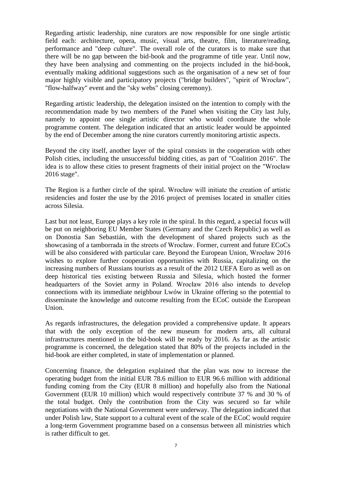Regarding artistic leadership, nine curators are now responsible for one single artistic field each: architecture, opera, music, visual arts, theatre, film, literature/reading, performance and "deep culture". The overall role of the curators is to make sure that there will be no gap between the bid-book and the programme of title year. Until now, they have been analysing and commenting on the projects included in the bid-book, eventually making additional suggestions such as the organisation of a new set of four major highly visible and participatory projects ("bridge builders", "spirit of Wrocław", "flow-halfway" event and the "sky webs" closing ceremony).

Regarding artistic leadership, the delegation insisted on the intention to comply with the recommendation made by two members of the Panel when visiting the City last July, namely to appoint one single artistic director who would coordinate the whole programme content. The delegation indicated that an artistic leader would be appointed by the end of December among the nine curators currently monitoring artistic aspects.

Beyond the city itself, another layer of the spiral consists in the cooperation with other Polish cities, including the unsuccessful bidding cities, as part of "Coalition 2016". The idea is to allow these cities to present fragments of their initial project on the "Wrocław 2016 stage".

The Region is a further circle of the spiral. Wrocław will initiate the creation of artistic residencies and foster the use by the 2016 project of premises located in smaller cities across Silesia.

Last but not least. Europe plays a key role in the spiral. In this regard, a special focus will be put on neighboring EU Member States (Germany and the Czech Republic) as well as on Donostia San Sebastián, with the development of shared projects such as the showcasing of a tamborrada in the streets of Wrocław. Former, current and future ECoCs will be also considered with particular care. Beyond the European Union, Wrocław 2016 wishes to explore further cooperation opportunities with Russia, capitalizing on the increasing numbers of Russians tourists as a result of the 2012 UEFA Euro as well as on deep historical ties existing between Russia and Silesia, which hosted the former headquarters of the Soviet army in Poland. Wrocław 2016 also intends to develop connections with its immediate neighbour Lwów in Ukraine offering so the potential to disseminate the knowledge and outcome resulting from the ECoC outside the European Union.

As regards infrastructures, the delegation provided a comprehensive update. It appears that with the only exception of the new museum for modern arts, all cultural infrastructures mentioned in the bid-book will be ready by 2016. As far as the artistic programme is concerned, the delegation stated that 80% of the projects included in the bid-book are either completed, in state of implementation or planned.

Concerning finance, the delegation explained that the plan was now to increase the operating budget from the initial EUR 78.6 million to EUR 96.6 million with additional funding coming from the City (EUR 8 million) and hopefully also from the National Government (EUR 10 million) which would respectively contribute 37 % and 30 % of the total budget. Only the contribution from the City was secured so far while negotiations with the National Government were underway. The delegation indicated that under Polish law, State support to a cultural event of the scale of the ECoC would require a long-term Government programme based on a consensus between all ministries which is rather difficult to get.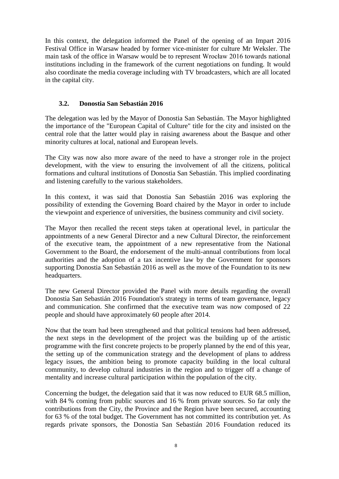In this context, the delegation informed the Panel of the opening of an Impart 2016 Festival Office in Warsaw headed by former vice-minister for culture Mr Weksler. The main task of the office in Warsaw would be to represent Wrocław 2016 towards national institutions including in the framework of the current negotiations on funding. It would also coordinate the media coverage including with TV broadcasters, which are all located in the capital city.

#### **3.2. Donostia San Sebastián 2016**

The delegation was led by the Mayor of Donostia San Sebastián. The Mayor highlighted the importance of the "European Capital of Culture" title for the city and insisted on the central role that the latter would play in raising awareness about the Basque and other minority cultures at local, national and European levels.

The City was now also more aware of the need to have a stronger role in the project development, with the view to ensuring the involvement of all the citizens, political formations and cultural institutions of Donostia San Sebastián. This implied coordinating and listening carefully to the various stakeholders.

In this context, it was said that Donostia San Sebastián 2016 was exploring the possibility of extending the Governing Board chaired by the Mayor in order to include the viewpoint and experience of universities, the business community and civil society.

The Mayor then recalled the recent steps taken at operational level, in particular the appointments of a new General Director and a new Cultural Director, the reinforcement of the executive team, the appointment of a new representative from the National Government to the Board, the endorsement of the multi-annual contributions from local authorities and the adoption of a tax incentive law by the Government for sponsors supporting Donostia San Sebastián 2016 as well as the move of the Foundation to its new headquarters.

The new General Director provided the Panel with more details regarding the overall Donostia San Sebastián 2016 Foundation's strategy in terms of team governance, legacy and communication. She confirmed that the executive team was now composed of 22 people and should have approximately 60 people after 2014.

Now that the team had been strengthened and that political tensions had been addressed, the next steps in the development of the project was the building up of the artistic programme with the first concrete projects to be properly planned by the end of this year, the setting up of the communication strategy and the development of plans to address legacy issues, the ambition being to promote capacity building in the local cultural community, to develop cultural industries in the region and to trigger off a change of mentality and increase cultural participation within the population of the city.

Concerning the budget, the delegation said that it was now reduced to EUR 68.5 million, with 84 % coming from public sources and 16 % from private sources. So far only the contributions from the City, the Province and the Region have been secured, accounting for 63 % of the total budget. The Government has not committed its contribution yet. As regards private sponsors, the Donostia San Sebastián 2016 Foundation reduced its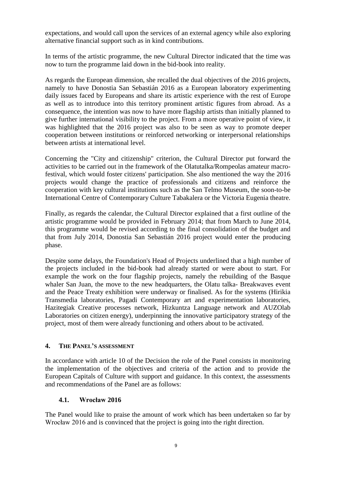expectations, and would call upon the services of an external agency while also exploring alternative financial support such as in kind contributions.

In terms of the artistic programme, the new Cultural Director indicated that the time was now to turn the programme laid down in the bid-book into reality.

As regards the European dimension, she recalled the dual objectives of the 2016 projects, namely to have Donostia San Sebastián 2016 as a European laboratory experimenting daily issues faced by Europeans and share its artistic experience with the rest of Europe as well as to introduce into this territory prominent artistic figures from abroad. As a consequence, the intention was now to have more flagship artists than initially planned to give further international visibility to the project. From a more operative point of view, it was highlighted that the 2016 project was also to be seen as way to promote deeper cooperation between institutions or reinforced networking or interpersonal relationships between artists at international level.

Concerning the "City and citizenship" criterion, the Cultural Director put forward the activities to be carried out in the framework of the Olatutalka/Rompeolas amateur macrofestival, which would foster citizens' participation. She also mentioned the way the 2016 projects would change the practice of professionals and citizens and reinforce the cooperation with key cultural institutions such as the San Telmo Museum, the soon-to-be International Centre of Contemporary Culture Tabakalera or the Victoria Eugenia theatre.

Finally, as regards the calendar, the Cultural Director explained that a first outline of the artistic programme would be provided in February 2014; that from March to June 2014, this programme would be revised according to the final consolidation of the budget and that from July 2014, Donostia San Sebastián 2016 project would enter the producing phase.

Despite some delays, the Foundation's Head of Projects underlined that a high number of the projects included in the bid-book had already started or were about to start. For example the work on the four flagship projects, namely the rebuilding of the Basque whaler San Juan, the move to the new headquarters, the Olatu talka- Breakwaves event and the Peace Treaty exhibition were underway or finalised. As for the systems (Hirikia Transmedia laboratories, Pagadi Contemporary art and experimentation laboratories, Hazitegiak Creative processes network, Hizkuntza Language network and AUZOlab Laboratories on citizen energy), underpinning the innovative participatory strategy of the project, most of them were already functioning and others about to be activated.

#### **4. THE PANEL'S ASSESSMENT**

In accordance with article 10 of the Decision the role of the Panel consists in monitoring the implementation of the objectives and criteria of the action and to provide the European Capitals of Culture with support and guidance. In this context, the assessments and recommendations of the Panel are as follows:

#### **4.1. Wrocław 2016**

The Panel would like to praise the amount of work which has been undertaken so far by Wrocław 2016 and is convinced that the project is going into the right direction.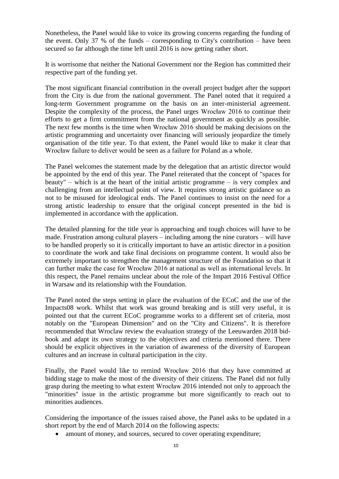Nonetheless, the Panel would like to voice its growing concerns regarding the funding of the event. Only 37 % of the funds – corresponding to City's contribution – have been secured so far although the time left until 2016 is now getting rather short.

It is worrisome that neither the National Government nor the Region has committed their respective part of the funding yet.

The most significant financial contribution in the overall project budget after the support from the City is due from the national government. The Panel noted that it required a long-term Government programme on the basis on an inter-ministerial agreement. Despite the complexity of the process, the Panel urges Wrocław 2016 to continue their efforts to get a firm commitment from the national government as quickly as possible. The next few months is the time when Wrocław 2016 should be making decisions on the artistic programming and uncertainty over financing will seriously jeopardize the timely organisation of the title year. To that extent, the Panel would like to make it clear that Wrocław failure to deliver would be seen as a failure for Poland as a whole.

The Panel welcomes the statement made by the delegation that an artistic director would be appointed by the end of this year. The Panel reiterated that the concept of "spaces for beauty" – which is at the heart of the initial artistic programme – is very complex and challenging from an intellectual point of view. It requires strong artistic guidance so as not to be misused for ideological ends. The Panel continues to insist on the need for a strong artistic leadership to ensure that the original concept presented in the bid is implemented in accordance with the application.

The detailed planning for the title year is approaching and tough choices will have to be made. Frustration among cultural players – including among the nine curators – will have to be handled properly so it is critically important to have an artistic director in a position to coordinate the work and take final decisions on programme content. It would also be extremely important to strengthen the management structure of the Foundation so that it can further make the case for Wrocław 2016 at national as well as international levels. In this respect, the Panel remains unclear about the role of the Impart 2016 Festival Office in Warsaw and its relationship with the Foundation.

The Panel noted the steps setting in place the evaluation of the ECoC and the use of the Impacts08 work. Whilst that work was ground breaking and is still very useful, it is pointed out that the current ECoC programme works to a different set of criteria, most notably on the "European Dimension" and on the "City and Citizens". It is therefore recommended that Wroclaw review the evaluation strategy of the Leeuwarden 2018 bidbook and adapt its own strategy to the objectives and criteria mentioned there. There should be explicit objectives in the variation of awareness of the diversity of European cultures and an increase in cultural participation in the city.

Finally, the Panel would like to remind Wrocław 2016 that they have committed at bidding stage to make the most of the diversity of their citizens. The Panel did not fully grasp during the meeting to what extent Wrocław 2016 intended not only to approach the "minorities" issue in the artistic programme but more significantly to reach out to minorities audiences.

Considering the importance of the issues raised above, the Panel asks to be updated in a short report by the end of March 2014 on the following aspects:

• amount of money, and sources, secured to cover operating expenditure;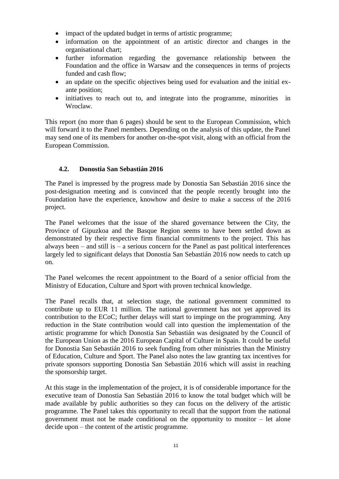- impact of the updated budget in terms of artistic programme;
- information on the appointment of an artistic director and changes in the organisational chart;
- further information regarding the governance relationship between the Foundation and the office in Warsaw and the consequences in terms of projects funded and cash flow;
- an update on the specific objectives being used for evaluation and the initial exante position;
- initiatives to reach out to, and integrate into the programme, minorities in Wroclaw.

This report (no more than 6 pages) should be sent to the European Commission, which will forward it to the Panel members. Depending on the analysis of this update, the Panel may send one of its members for another on-the-spot visit, along with an official from the European Commission.

#### **4.2. Donostia San Sebastián 2016**

The Panel is impressed by the progress made by Donostia San Sebastián 2016 since the post-designation meeting and is convinced that the people recently brought into the Foundation have the experience, knowhow and desire to make a success of the 2016 project.

The Panel welcomes that the issue of the shared governance between the City, the Province of Gipuzkoa and the Basque Region seems to have been settled down as demonstrated by their respective firm financial commitments to the project. This has always been  $-$  and still is  $-$  a serious concern for the Panel as past political interferences largely led to significant delays that Donostia San Sebastián 2016 now needs to catch up on.

The Panel welcomes the recent appointment to the Board of a senior official from the Ministry of Education, Culture and Sport with proven technical knowledge.

The Panel recalls that, at selection stage, the national government committed to contribute up to EUR 11 million. The national government has not yet approved its contribution to the ECoC; further delays will start to impinge on the programming. Any reduction in the State contribution would call into question the implementation of the artistic programme for which Donostia San Sebastián was designated by the Council of the European Union as the 2016 European Capital of Culture in Spain. It could be useful for Donostia San Sebastián 2016 to seek funding from other ministries than the Ministry of Education, Culture and Sport. The Panel also notes the law granting tax incentives for private sponsors supporting Donostia San Sebastián 2016 which will assist in reaching the sponsorship target.

At this stage in the implementation of the project, it is of considerable importance for the executive team of Donostia San Sebastián 2016 to know the total budget which will be made available by public authorities so they can focus on the delivery of the artistic programme. The Panel takes this opportunity to recall that the support from the national government must not be made conditional on the opportunity to monitor – let alone decide upon – the content of the artistic programme.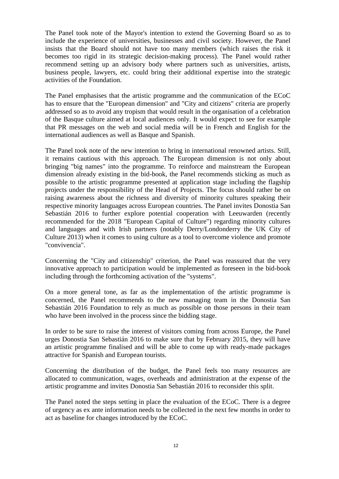The Panel took note of the Mayor's intention to extend the Governing Board so as to include the experience of universities, businesses and civil society. However, the Panel insists that the Board should not have too many members (which raises the risk it becomes too rigid in its strategic decision-making process). The Panel would rather recommend setting up an advisory body where partners such as universities, artists, business people, lawyers, etc. could bring their additional expertise into the strategic activities of the Foundation.

The Panel emphasises that the artistic programme and the communication of the ECoC has to ensure that the "European dimension" and "City and citizens" criteria are properly addressed so as to avoid any tropism that would result in the organisation of a celebration of the Basque culture aimed at local audiences only. It would expect to see for example that PR messages on the web and social media will be in French and English for the international audiences as well as Basque and Spanish.

The Panel took note of the new intention to bring in international renowned artists. Still, it remains cautious with this approach. The European dimension is not only about bringing "big names" into the programme. To reinforce and mainstream the European dimension already existing in the bid-book, the Panel recommends sticking as much as possible to the artistic programme presented at application stage including the flagship projects under the responsibility of the Head of Projects. The focus should rather be on raising awareness about the richness and diversity of minority cultures speaking their respective minority languages across European countries. The Panel invites Donostia San Sebastián 2016 to further explore potential cooperation with Leeuwarden (recently recommended for the 2018 "European Capital of Culture") regarding minority cultures and languages and with Irish partners (notably Derry/Londonderry the UK City of Culture 2013) when it comes to using culture as a tool to overcome violence and promote "convivencia".

Concerning the "City and citizenship" criterion, the Panel was reassured that the very innovative approach to participation would be implemented as foreseen in the bid-book including through the forthcoming activation of the "systems".

On a more general tone, as far as the implementation of the artistic programme is concerned, the Panel recommends to the new managing team in the Donostia San Sebastián 2016 Foundation to rely as much as possible on those persons in their team who have been involved in the process since the bidding stage.

In order to be sure to raise the interest of visitors coming from across Europe, the Panel urges Donostia San Sebastián 2016 to make sure that by February 2015, they will have an artistic programme finalised and will be able to come up with ready-made packages attractive for Spanish and European tourists.

Concerning the distribution of the budget, the Panel feels too many resources are allocated to communication, wages, overheads and administration at the expense of the artistic programme and invites Donostia San Sebastián 2016 to reconsider this split.

The Panel noted the steps setting in place the evaluation of the ECoC. There is a degree of urgency as ex ante information needs to be collected in the next few months in order to act as baseline for changes introduced by the ECoC.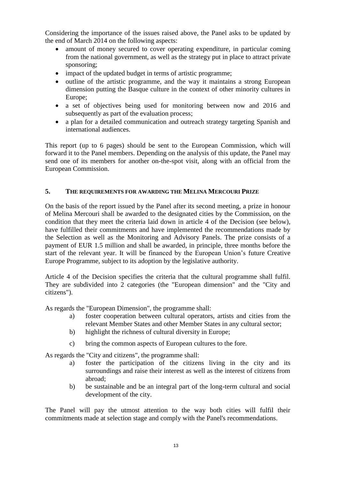Considering the importance of the issues raised above, the Panel asks to be updated by the end of March 2014 on the following aspects:

- amount of money secured to cover operating expenditure, in particular coming from the national government, as well as the strategy put in place to attract private sponsoring;
- impact of the updated budget in terms of artistic programme;
- outline of the artistic programme, and the way it maintains a strong European dimension putting the Basque culture in the context of other minority cultures in Europe;
- a set of objectives being used for monitoring between now and 2016 and subsequently as part of the evaluation process;
- a plan for a detailed communication and outreach strategy targeting Spanish and international audiences.

This report (up to 6 pages) should be sent to the European Commission, which will forward it to the Panel members. Depending on the analysis of this update, the Panel may send one of its members for another on-the-spot visit, along with an official from the European Commission.

## **5. THE REQUIREMENTS FOR AWARDING THE MELINA MERCOURI PRIZE**

On the basis of the report issued by the Panel after its second meeting, a prize in honour of Melina Mercouri shall be awarded to the designated cities by the Commission, on the condition that they meet the criteria laid down in article 4 of the Decision (see below), have fulfilled their commitments and have implemented the recommendations made by the Selection as well as the Monitoring and Advisory Panels. The prize consists of a payment of EUR 1.5 million and shall be awarded, in principle, three months before the start of the relevant year. It will be financed by the European Union's future Creative Europe Programme, subject to its adoption by the legislative authority.

Article 4 of the Decision specifies the criteria that the cultural programme shall fulfil. They are subdivided into 2 categories (the "European dimension" and the "City and citizens").

As regards the "European Dimension", the programme shall:

- a) foster cooperation between cultural operators, artists and cities from the relevant Member States and other Member States in any cultural sector;
- b) highlight the richness of cultural diversity in Europe;
- c) bring the common aspects of European cultures to the fore.

As regards the "City and citizens", the programme shall:

- a) foster the participation of the citizens living in the city and its surroundings and raise their interest as well as the interest of citizens from abroad;
- b) be sustainable and be an integral part of the long-term cultural and social development of the city.

The Panel will pay the utmost attention to the way both cities will fulfil their commitments made at selection stage and comply with the Panel's recommendations.